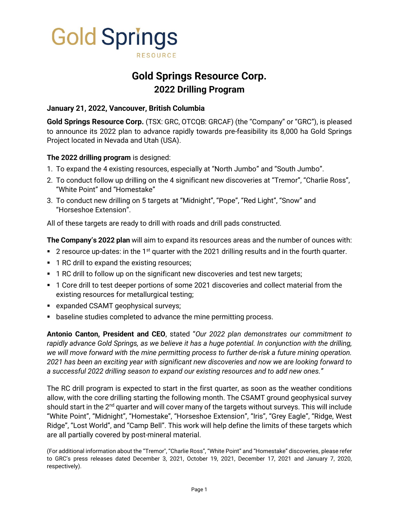

# **Gold Springs Resource Corp. 2022 Drilling Program**

## **January 21, 2022, Vancouver, British Columbia**

**Gold Springs Resource Corp.** (TSX: GRC, OTCQB: GRCAF) (the "Company" or "GRC"), is pleased to announce its 2022 plan to advance rapidly towards pre-feasibility its 8,000 ha Gold Springs Project located in Nevada and Utah (USA).

### **The 2022 drilling program** is designed:

- 1. To expand the 4 existing resources, especially at "North Jumbo" and "South Jumbo".
- 2. To conduct follow up drilling on the 4 significant new discoveries at "Tremor", "Charlie Ross", "White Point" and "Homestake"
- 3. To conduct new drilling on 5 targets at "Midnight", "Pope", "Red Light", "Snow" and "Horseshoe Extension".

All of these targets are ready to drill with roads and drill pads constructed.

**The Company's 2022 plan** will aim to expand its resources areas and the number of ounces with:

- $\blacksquare$  2 resource up-dates: in the 1<sup>st</sup> quarter with the 2021 drilling results and in the fourth quarter.
- 1 RC drill to expand the existing resources;
- 1 RC drill to follow up on the significant new discoveries and test new targets;
- 1 Core drill to test deeper portions of some 2021 discoveries and collect material from the existing resources for metallurgical testing;
- expanded CSAMT geophysical surveys;
- baseline studies completed to advance the mine permitting process.

**Antonio Canton, President and CEO**, stated "*Our 2022 plan demonstrates our commitment to rapidly advance Gold Springs, as we believe it has a huge potential. In conjunction with the drilling, we will move forward with the mine permitting process to further de-risk a future mining operation. 2021 has been an exciting year with significant new discoveries and now we are looking forward to a successful 2022 drilling season to expand our existing resources and to add new ones."*

The RC drill program is expected to start in the first quarter, as soon as the weather conditions allow, with the core drilling starting the following month. The CSAMT ground geophysical survey should start in the  $2<sup>nd</sup>$  quarter and will cover many of the targets without surveys. This will include "White Point", "Midnight", "Homestake", "Horseshoe Extension", "Iris", "Grey Eagle", "Ridge, West Ridge", "Lost World", and "Camp Bell". This work will help define the limits of these targets which are all partially covered by post-mineral material.

(For additional information about the "Tremor", "Charlie Ross", "White Point" and "Homestake" discoveries, please refer to GRC's press releases dated December 3, 2021, October 19, 2021, December 17, 2021 and January 7, 2020, respectively).